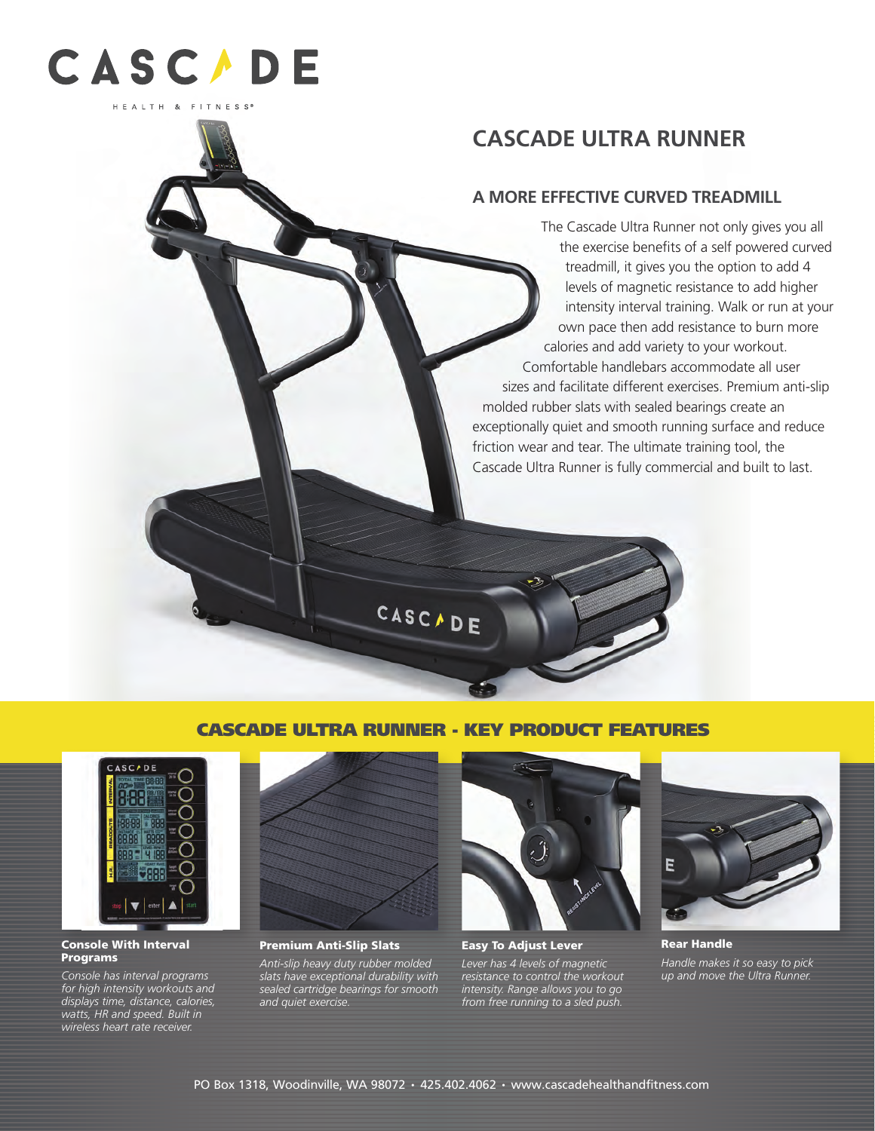

# **CASCADE ULTRA RUNNER**

## **A MORE EFFECTIVE CURVED TREADMILL**

The Cascade Ultra Runner not only gives you all the exercise benefits of a self powered curved treadmill, it gives you the option to add 4 levels of magnetic resistance to add higher intensity interval training. Walk or run at your own pace then add resistance to burn more calories and add variety to your workout. Comfortable handlebars accommodate all user sizes and facilitate different exercises. Premium anti-slip molded rubber slats with sealed bearings create an exceptionally quiet and smooth running surface and reduce friction wear and tear. The ultimate training tool, the Cascade Ultra Runner is fully commercial and built to last.

CASCADE ULTRA RUNNER - KEY PRODUCT FEATURES

CASCADE



#### Console With Interval **Programs**

*Console has interval programs for high intensity workouts and displays time, distance, calories, watts, HR and speed. Built in wireless heart rate receiver.*



Premium Anti-Slip Slats

*Anti-slip heavy duty rubber molded slats have exceptional durability with sealed cartridge bearings for smooth and quiet exercise.* 



Easy To Adjust Lever

*Lever has 4 levels of magnetic resistance to control the workout intensity. Range allows you to go from free running to a sled push.*



Rear Handle *Handle makes it so easy to pick up and move the Ultra Runner.*